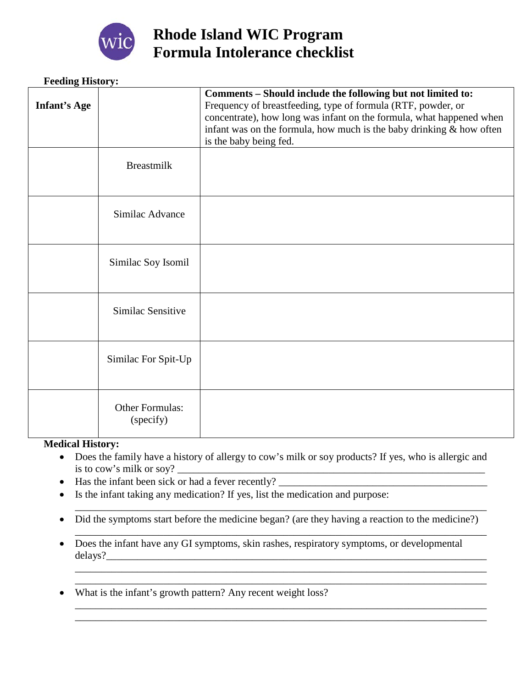

# **Rhode Island WIC Program Formula Intolerance checklist**

## **Feeding History:**

| <b>Infant's Age</b> |                                     | Comments - Should include the following but not limited to:<br>Frequency of breastfeeding, type of formula (RTF, powder, or<br>concentrate), how long was infant on the formula, what happened when<br>infant was on the formula, how much is the baby drinking $&$ how often<br>is the baby being fed. |
|---------------------|-------------------------------------|---------------------------------------------------------------------------------------------------------------------------------------------------------------------------------------------------------------------------------------------------------------------------------------------------------|
|                     | <b>Breastmilk</b>                   |                                                                                                                                                                                                                                                                                                         |
|                     | Similac Advance                     |                                                                                                                                                                                                                                                                                                         |
|                     | Similac Soy Isomil                  |                                                                                                                                                                                                                                                                                                         |
|                     | Similac Sensitive                   |                                                                                                                                                                                                                                                                                                         |
|                     | Similac For Spit-Up                 |                                                                                                                                                                                                                                                                                                         |
|                     | <b>Other Formulas:</b><br>(specify) |                                                                                                                                                                                                                                                                                                         |

### **Medical History:**

- Does the family have a history of allergy to cow's milk or soy products? If yes, who is allergic and is to cow's milk or soy?
- Has the infant been sick or had a fever recently?  $\Box$
- Is the infant taking any medication? If yes, list the medication and purpose:
- Did the symptoms start before the medicine began? (are they having a reaction to the medicine?)

\_\_\_\_\_\_\_\_\_\_\_\_\_\_\_\_\_\_\_\_\_\_\_\_\_\_\_\_\_\_\_\_\_\_\_\_\_\_\_\_\_\_\_\_\_\_\_\_\_\_\_\_\_\_\_\_\_\_\_\_\_\_\_\_\_\_\_\_\_\_\_\_\_\_\_\_\_\_\_

\_\_\_\_\_\_\_\_\_\_\_\_\_\_\_\_\_\_\_\_\_\_\_\_\_\_\_\_\_\_\_\_\_\_\_\_\_\_\_\_\_\_\_\_\_\_\_\_\_\_\_\_\_\_\_\_\_\_\_\_\_\_\_\_\_\_\_\_\_\_\_\_\_\_\_\_\_\_\_

\_\_\_\_\_\_\_\_\_\_\_\_\_\_\_\_\_\_\_\_\_\_\_\_\_\_\_\_\_\_\_\_\_\_\_\_\_\_\_\_\_\_\_\_\_\_\_\_\_\_\_\_\_\_\_\_\_\_\_\_\_\_\_\_\_\_\_\_\_\_\_\_\_\_\_\_\_\_\_ \_\_\_\_\_\_\_\_\_\_\_\_\_\_\_\_\_\_\_\_\_\_\_\_\_\_\_\_\_\_\_\_\_\_\_\_\_\_\_\_\_\_\_\_\_\_\_\_\_\_\_\_\_\_\_\_\_\_\_\_\_\_\_\_\_\_\_\_\_\_\_\_\_\_\_\_\_\_\_

\_\_\_\_\_\_\_\_\_\_\_\_\_\_\_\_\_\_\_\_\_\_\_\_\_\_\_\_\_\_\_\_\_\_\_\_\_\_\_\_\_\_\_\_\_\_\_\_\_\_\_\_\_\_\_\_\_\_\_\_\_\_\_\_\_\_\_\_\_\_\_\_\_\_\_\_\_\_\_ \_\_\_\_\_\_\_\_\_\_\_\_\_\_\_\_\_\_\_\_\_\_\_\_\_\_\_\_\_\_\_\_\_\_\_\_\_\_\_\_\_\_\_\_\_\_\_\_\_\_\_\_\_\_\_\_\_\_\_\_\_\_\_\_\_\_\_\_\_\_\_\_\_\_\_\_\_\_\_

- Does the infant have any GI symptoms, skin rashes, respiratory symptoms, or developmental delays?\_\_\_\_\_\_\_\_\_\_\_\_\_\_\_\_\_\_\_\_\_\_\_\_\_\_\_\_\_\_\_\_\_\_\_\_\_\_\_\_\_\_\_\_\_\_\_\_\_\_\_\_\_\_\_\_\_\_\_\_\_\_\_\_\_\_\_\_\_\_\_\_\_
- What is the infant's growth pattern? Any recent weight loss?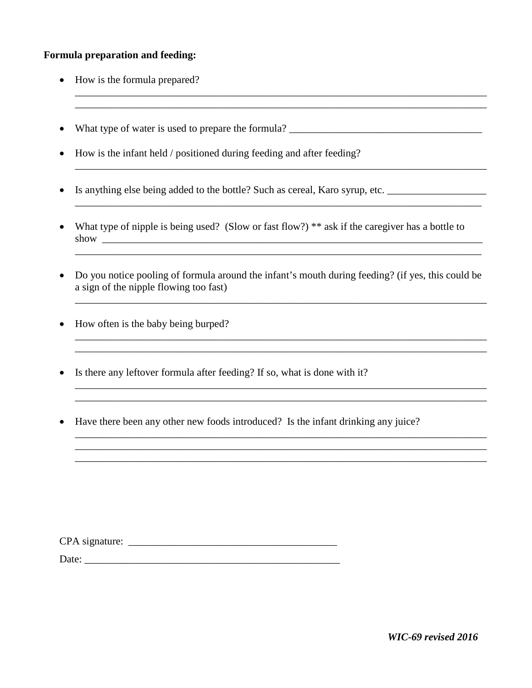### **Formula preparation and feeding:**

- How is the formula prepared?
- What type of water is used to prepare the formula?

\_\_\_\_\_\_\_\_\_\_\_\_\_\_\_\_\_\_\_\_\_\_\_\_\_\_\_\_\_\_\_\_\_\_\_\_\_\_\_\_\_\_\_\_\_\_\_\_\_\_\_\_\_\_\_\_\_\_\_\_\_\_\_\_\_\_\_\_\_\_\_\_\_\_\_\_\_\_\_ \_\_\_\_\_\_\_\_\_\_\_\_\_\_\_\_\_\_\_\_\_\_\_\_\_\_\_\_\_\_\_\_\_\_\_\_\_\_\_\_\_\_\_\_\_\_\_\_\_\_\_\_\_\_\_\_\_\_\_\_\_\_\_\_\_\_\_\_\_\_\_\_\_\_\_\_\_\_\_

\_\_\_\_\_\_\_\_\_\_\_\_\_\_\_\_\_\_\_\_\_\_\_\_\_\_\_\_\_\_\_\_\_\_\_\_\_\_\_\_\_\_\_\_\_\_\_\_\_\_\_\_\_\_\_\_\_\_\_\_\_\_\_\_\_\_\_\_\_\_\_\_\_\_\_\_\_\_\_

- How is the infant held / positioned during feeding and after feeding?
- Is anything else being added to the bottle? Such as cereal, Karo syrup, etc. \_\_\_\_\_\_\_\_\_\_\_\_\_\_\_\_\_\_\_
- What type of nipple is being used? (Slow or fast flow?) \*\* ask if the caregiver has a bottle to show \_\_\_\_\_\_\_\_\_\_\_\_\_\_\_\_\_\_\_\_\_\_\_\_\_\_\_\_\_\_\_\_\_\_\_\_\_\_\_\_\_\_\_\_\_\_\_\_\_\_\_\_\_\_\_\_\_\_\_\_\_\_\_\_\_\_\_\_\_\_\_\_\_

\_\_\_\_\_\_\_\_\_\_\_\_\_\_\_\_\_\_\_\_\_\_\_\_\_\_\_\_\_\_\_\_\_\_\_\_\_\_\_\_\_\_\_\_\_\_\_\_\_\_\_\_\_\_\_\_\_\_\_\_\_\_\_\_\_\_\_\_\_\_\_\_\_\_\_\_\_\_

• Do you notice pooling of formula around the infant's mouth during feeding? (if yes, this could be a sign of the nipple flowing too fast)

 $\mathcal{L}_\mathcal{L} = \{ \mathcal{L}_\mathcal{L} = \{ \mathcal{L}_\mathcal{L} = \{ \mathcal{L}_\mathcal{L} = \{ \mathcal{L}_\mathcal{L} = \{ \mathcal{L}_\mathcal{L} = \{ \mathcal{L}_\mathcal{L} = \{ \mathcal{L}_\mathcal{L} = \{ \mathcal{L}_\mathcal{L} = \{ \mathcal{L}_\mathcal{L} = \{ \mathcal{L}_\mathcal{L} = \{ \mathcal{L}_\mathcal{L} = \{ \mathcal{L}_\mathcal{L} = \{ \mathcal{L}_\mathcal{L} = \{ \mathcal{L}_\mathcal{$ 

\_\_\_\_\_\_\_\_\_\_\_\_\_\_\_\_\_\_\_\_\_\_\_\_\_\_\_\_\_\_\_\_\_\_\_\_\_\_\_\_\_\_\_\_\_\_\_\_\_\_\_\_\_\_\_\_\_\_\_\_\_\_\_\_\_\_\_\_\_\_\_\_\_\_\_\_\_\_

\_\_\_\_\_\_\_\_\_\_\_\_\_\_\_\_\_\_\_\_\_\_\_\_\_\_\_\_\_\_\_\_\_\_\_\_\_\_\_\_\_\_\_\_\_\_\_\_\_\_\_\_\_\_\_\_\_\_\_\_\_\_\_\_\_\_\_\_\_\_\_\_\_\_\_\_\_\_\_ \_\_\_\_\_\_\_\_\_\_\_\_\_\_\_\_\_\_\_\_\_\_\_\_\_\_\_\_\_\_\_\_\_\_\_\_\_\_\_\_\_\_\_\_\_\_\_\_\_\_\_\_\_\_\_\_\_\_\_\_\_\_\_\_\_\_\_\_\_\_\_\_\_\_\_\_\_\_\_

\_\_\_\_\_\_\_\_\_\_\_\_\_\_\_\_\_\_\_\_\_\_\_\_\_\_\_\_\_\_\_\_\_\_\_\_\_\_\_\_\_\_\_\_\_\_\_\_\_\_\_\_\_\_\_\_\_\_\_\_\_\_\_\_\_\_\_\_\_\_\_\_\_\_\_\_\_\_\_ \_\_\_\_\_\_\_\_\_\_\_\_\_\_\_\_\_\_\_\_\_\_\_\_\_\_\_\_\_\_\_\_\_\_\_\_\_\_\_\_\_\_\_\_\_\_\_\_\_\_\_\_\_\_\_\_\_\_\_\_\_\_\_\_\_\_\_\_\_\_\_\_\_\_\_\_\_\_\_ \_\_\_\_\_\_\_\_\_\_\_\_\_\_\_\_\_\_\_\_\_\_\_\_\_\_\_\_\_\_\_\_\_\_\_\_\_\_\_\_\_\_\_\_\_\_\_\_\_\_\_\_\_\_\_\_\_\_\_\_\_\_\_\_\_\_\_\_\_\_\_\_\_\_\_\_\_\_\_

- How often is the baby being burped?
- Is there any leftover formula after feeding? If so, what is done with it?

\_\_\_\_\_\_\_\_\_\_\_\_\_\_\_\_\_\_\_\_\_\_\_\_\_\_\_\_\_\_\_\_\_\_\_\_\_\_\_\_\_\_\_\_\_\_\_\_\_\_\_\_\_\_\_\_\_\_\_\_\_\_\_\_\_\_\_\_\_\_\_\_\_\_\_\_\_\_\_

• Have there been any other new foods introduced? Is the infant drinking any juice?

| CPA signature: |  |
|----------------|--|
|                |  |

Date: